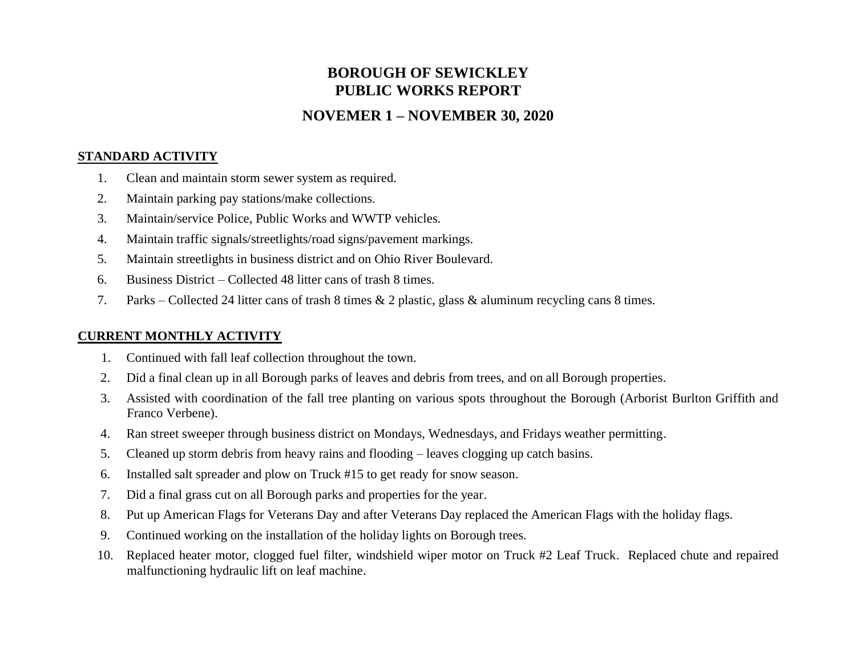# **BOROUGH OF SEWICKLEY PUBLIC WORKS REPORT**

## **NOVEMER 1 – NOVEMBER 30, 2020**

#### **STANDARD ACTIVITY**

- 1. Clean and maintain storm sewer system as required.
- 2. Maintain parking pay stations/make collections.
- 3. Maintain/service Police, Public Works and WWTP vehicles.
- 4. Maintain traffic signals/streetlights/road signs/pavement markings.
- 5. Maintain streetlights in business district and on Ohio River Boulevard.
- 6. Business District Collected 48 litter cans of trash 8 times.
- 7. Parks Collected 24 litter cans of trash 8 times & 2 plastic, glass & aluminum recycling cans 8 times.

#### **CURRENT MONTHLY ACTIVITY**

- 1. Continued with fall leaf collection throughout the town.
- 2. Did a final clean up in all Borough parks of leaves and debris from trees, and on all Borough properties.
- 3. Assisted with coordination of the fall tree planting on various spots throughout the Borough (Arborist Burlton Griffith and Franco Verbene).
- 4. Ran street sweeper through business district on Mondays, Wednesdays, and Fridays weather permitting.
- 5. Cleaned up storm debris from heavy rains and flooding leaves clogging up catch basins.
- 6. Installed salt spreader and plow on Truck #15 to get ready for snow season.
- 7. Did a final grass cut on all Borough parks and properties for the year.
- 8. Put up American Flags for Veterans Day and after Veterans Day replaced the American Flags with the holiday flags.
- 9. Continued working on the installation of the holiday lights on Borough trees.
- 10. Replaced heater motor, clogged fuel filter, windshield wiper motor on Truck #2 Leaf Truck. Replaced chute and repaired malfunctioning hydraulic lift on leaf machine.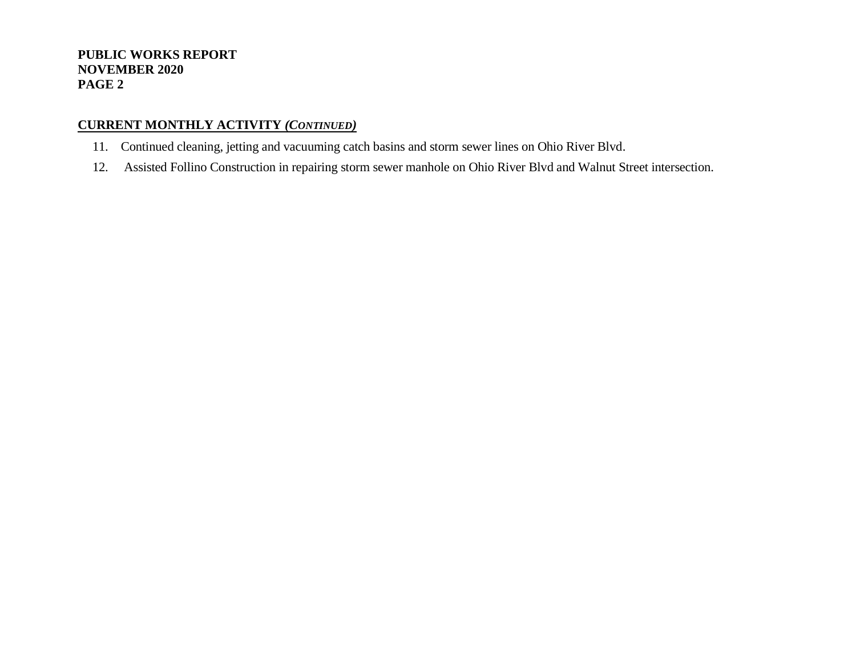### **CURRENT MONTHLY ACTIVITY** *(CONTINUED)*

- 11. Continued cleaning, jetting and vacuuming catch basins and storm sewer lines on Ohio River Blvd.
- 12. Assisted Follino Construction in repairing storm sewer manhole on Ohio River Blvd and Walnut Street intersection.